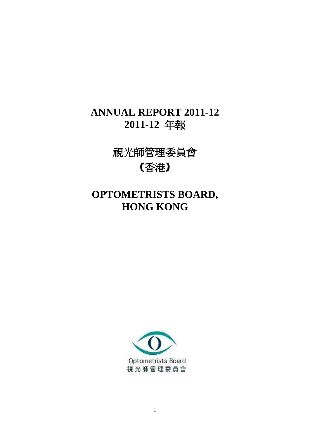# **ANNUAL REPORT 2011-12 2011-12** 年報

視光師管理委員會 (香港)

# **OPTOMETRISTS BOARD, HONG KONG**

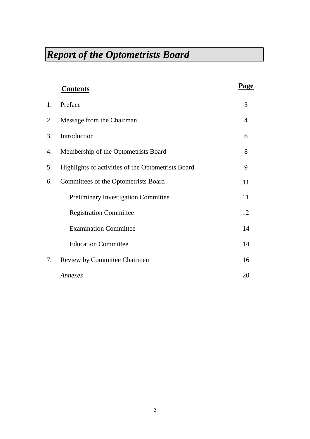|    | <b>Contents</b>                                    | Page |
|----|----------------------------------------------------|------|
| 1. | Preface                                            | 3    |
| 2  | Message from the Chairman                          | 4    |
| 3. | Introduction                                       | 6    |
| 4. | Membership of the Optometrists Board               | 8    |
| 5. | Highlights of activities of the Optometrists Board | 9    |
| 6. | Committees of the Optometrists Board               | 11   |
|    | <b>Preliminary Investigation Committee</b>         | 11   |
|    | <b>Registration Committee</b>                      | 12   |
|    | <b>Examination Committee</b>                       | 14   |
|    | <b>Education Committee</b>                         | 14   |
| 7. | Review by Committee Chairmen                       | 16   |
|    | Annexes                                            | 20   |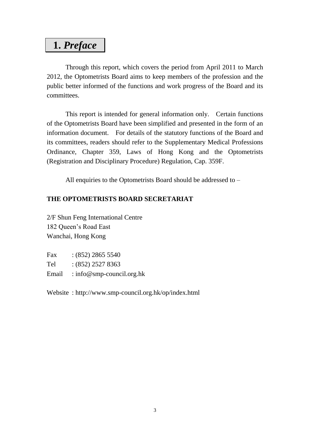## **1.** *Preface*

Through this report, which covers the period from April 2011 to March 2012, the Optometrists Board aims to keep members of the profession and the public better informed of the functions and work progress of the Board and its committees.

This report is intended for general information only. Certain functions of the Optometrists Board have been simplified and presented in the form of an information document. For details of the statutory functions of the Board and its committees, readers should refer to the Supplementary Medical Professions Ordinance, Chapter 359, Laws of Hong Kong and the Optometrists (Registration and Disciplinary Procedure) Regulation, Cap. 359F.

All enquiries to the Optometrists Board should be addressed to –

### **THE OPTOMETRISTS BOARD SECRETARIAT**

2/F Shun Feng International Centre 182 Queen's Road East Wanchai, Hong Kong

| Fax   | $(852)$ 2865 5540         |
|-------|---------------------------|
| Tel   | $:(852)$ 2527 8363        |
| Email | : info@smp-council.org.hk |

Website : http://www.smp-council.org.hk/op/index.html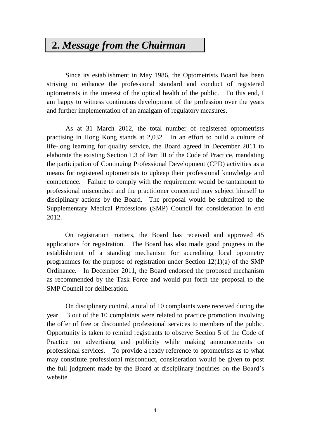## **2.** *Message from the Chairman*

Since its establishment in May 1986, the Optometrists Board has been striving to enhance the professional standard and conduct of registered optometrists in the interest of the optical health of the public. To this end, I am happy to witness continuous development of the profession over the years and further implementation of an amalgam of regulatory measures.

As at 31 March 2012, the total number of registered optometrists practising in Hong Kong stands at 2,032. In an effort to build a culture of life-long learning for quality service, the Board agreed in December 2011 to elaborate the existing Section 1.3 of Part III of the Code of Practice, mandating the participation of Continuing Professional Development (CPD) activities as a means for registered optometrists to upkeep their professional knowledge and competence. Failure to comply with the requirement would be tantamount to professional misconduct and the practitioner concerned may subject himself to disciplinary actions by the Board. The proposal would be submitted to the Supplementary Medical Professions (SMP) Council for consideration in end 2012.

On registration matters, the Board has received and approved 45 applications for registration. The Board has also made good progress in the establishment of a standing mechanism for accrediting local optometry programmes for the purpose of registration under Section 12(1)(a) of the SMP Ordinance. In December 2011, the Board endorsed the proposed mechanism as recommended by the Task Force and would put forth the proposal to the SMP Council for deliberation.

On disciplinary control, a total of 10 complaints were received during the year. 3 out of the 10 complaints were related to practice promotion involving the offer of free or discounted professional services to members of the public. Opportunity is taken to remind registrants to observe Section 5 of the Code of Practice on advertising and publicity while making announcements on professional services. To provide a ready reference to optometrists as to what may constitute professional misconduct, consideration would be given to post the full judgment made by the Board at disciplinary inquiries on the Board's website.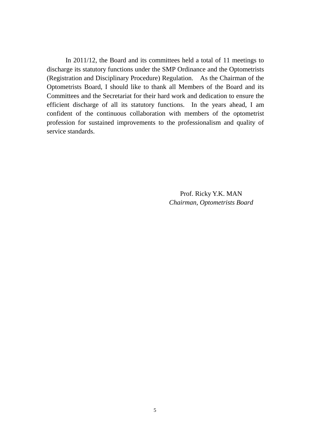In 2011/12, the Board and its committees held a total of 11 meetings to discharge its statutory functions under the SMP Ordinance and the Optometrists (Registration and Disciplinary Procedure) Regulation. As the Chairman of the Optometrists Board, I should like to thank all Members of the Board and its Committees and the Secretariat for their hard work and dedication to ensure the efficient discharge of all its statutory functions. In the years ahead, I am confident of the continuous collaboration with members of the optometrist profession for sustained improvements to the professionalism and quality of service standards.

> Prof. Ricky Y.K. MAN *Chairman, Optometrists Board*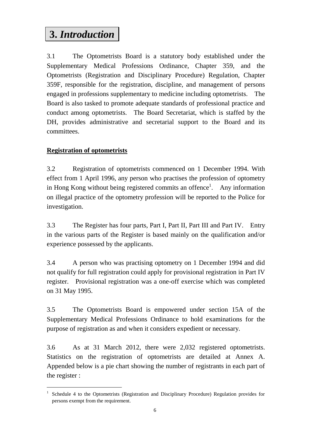# **3.** *Introduction*

3.1 The Optometrists Board is a statutory body established under the Supplementary Medical Professions Ordinance, Chapter 359, and the Optometrists (Registration and Disciplinary Procedure) Regulation, Chapter 359F, responsible for the registration, discipline, and management of persons engaged in professions supplementary to medicine including optometrists. The Board is also tasked to promote adequate standards of professional practice and conduct among optometrists. The Board Secretariat, which is staffed by the DH, provides administrative and secretarial support to the Board and its committees.

## **Registration of optometrists**

 $\overline{a}$ 

3.2 Registration of optometrists commenced on 1 December 1994. With effect from 1 April 1996, any person who practises the profession of optometry in Hong Kong without being registered commits an offence<sup>1</sup>. Any information on illegal practice of the optometry profession will be reported to the Police for investigation.

3.3 The Register has four parts, Part I, Part II, Part III and Part IV. Entry in the various parts of the Register is based mainly on the qualification and/or experience possessed by the applicants.

3.4 A person who was practising optometry on 1 December 1994 and did not qualify for full registration could apply for provisional registration in Part IV register. Provisional registration was a one-off exercise which was completed on 31 May 1995.

3.5 The Optometrists Board is empowered under section 15A of the Supplementary Medical Professions Ordinance to hold examinations for the purpose of registration as and when it considers expedient or necessary.

3.6 As at 31 March 2012, there were 2,032 registered optometrists. Statistics on the registration of optometrists are detailed at Annex A. Appended below is a pie chart showing the number of registrants in each part of the register :

<sup>&</sup>lt;sup>1</sup> Schedule 4 to the Optometrists (Registration and Disciplinary Procedure) Regulation provides for persons exempt from the requirement.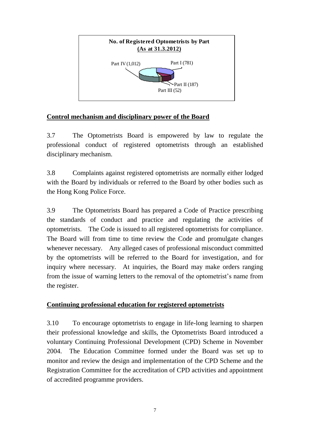

### **Control mechanism and disciplinary power of the Board**

3.7 The Optometrists Board is empowered by law to regulate the professional conduct of registered optometrists through an established disciplinary mechanism.

3.8 Complaints against registered optometrists are normally either lodged with the Board by individuals or referred to the Board by other bodies such as the Hong Kong Police Force.

3.9 The Optometrists Board has prepared a Code of Practice prescribing the standards of conduct and practice and regulating the activities of optometrists. The Code is issued to all registered optometrists for compliance. The Board will from time to time review the Code and promulgate changes whenever necessary. Any alleged cases of professional misconduct committed by the optometrists will be referred to the Board for investigation, and for inquiry where necessary. At inquiries, the Board may make orders ranging from the issue of warning letters to the removal of the optometrist's name from the register.

### **Continuing professional education for registered optometrists**

3.10 To encourage optometrists to engage in life-long learning to sharpen their professional knowledge and skills, the Optometrists Board introduced a voluntary Continuing Professional Development (CPD) Scheme in November 2004. The Education Committee formed under the Board was set up to monitor and review the design and implementation of the CPD Scheme and the Registration Committee for the accreditation of CPD activities and appointment of accredited programme providers.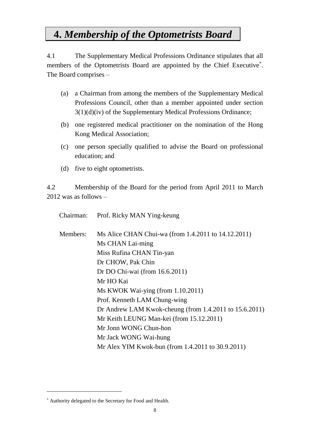## **4.** *Membership of the Optometrists Board*

4.1 The Supplementary Medical Professions Ordinance stipulates that all members of the Optometrists Board are appointed by the Chief Executive . The Board comprises –

- (a) a Chairman from among the members of the Supplementary Medical Professions Council, other than a member appointed under section  $3(1)(d)(iv)$  of the Supplementary Medical Professions Ordinance;
- (b) one registered medical practitioner on the nomination of the Hong Kong Medical Association;
- (c) one person specially qualified to advise the Board on professional education; and
- (d) five to eight optometrists.

4.2 Membership of the Board for the period from April 2011 to March 2012 was as follows –

Chairman: Prof. Ricky MAN Ying-keung

| Members: | Ms Alice CHAN Chui-wa (from 1.4.2011 to 14.12.2011)         |
|----------|-------------------------------------------------------------|
|          | Ms CHAN Lai-ming                                            |
|          | Miss Rufina CHAN Tin-yan                                    |
|          | Dr CHOW, Pak Chin                                           |
|          | Dr DO Chi-wai (from 16.6.2011)                              |
|          | Mr HO Kai                                                   |
|          | Ms KWOK Wai-ying (from $1.10.2011$ )                        |
|          | Prof. Kenneth LAM Chung-wing                                |
|          | Dr Andrew LAM Kwok-cheung (from $1.4.2011$ to $15.6.2011$ ) |
|          | Mr Keith LEUNG Man-kei (from 15.12.2011)                    |
|          | Mr Jonn WONG Chun-hon                                       |
|          | Mr Jack WONG Wai-hung                                       |
|          | Mr Alex YIM Kwok-bun (from 1.4.2011 to 30.9.2011)           |

 $\overline{a}$ 

Authority delegated to the Secretary for Food and Health.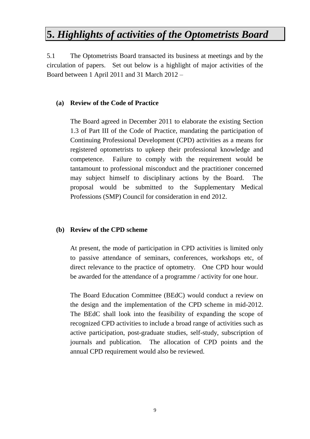## **5.** *Highlights of activities of the Optometrists Board*

5.1 The Optometrists Board transacted its business at meetings and by the circulation of papers. Set out below is a highlight of major activities of the Board between 1 April 2011 and 31 March 2012 –

#### **(a) Review of the Code of Practice**

The Board agreed in December 2011 to elaborate the existing Section 1.3 of Part III of the Code of Practice, mandating the participation of Continuing Professional Development (CPD) activities as a means for registered optometrists to upkeep their professional knowledge and competence. Failure to comply with the requirement would be tantamount to professional misconduct and the practitioner concerned may subject himself to disciplinary actions by the Board. The proposal would be submitted to the Supplementary Medical Professions (SMP) Council for consideration in end 2012.

#### **(b) Review of the CPD scheme**

At present, the mode of participation in CPD activities is limited only to passive attendance of seminars, conferences, workshops etc, of direct relevance to the practice of optometry. One CPD hour would be awarded for the attendance of a programme / activity for one hour.

The Board Education Committee (BEdC) would conduct a review on the design and the implementation of the CPD scheme in mid-2012. The BEdC shall look into the feasibility of expanding the scope of recognized CPD activities to include a broad range of activities such as active participation, post-graduate studies, self-study, subscription of journals and publication. The allocation of CPD points and the annual CPD requirement would also be reviewed.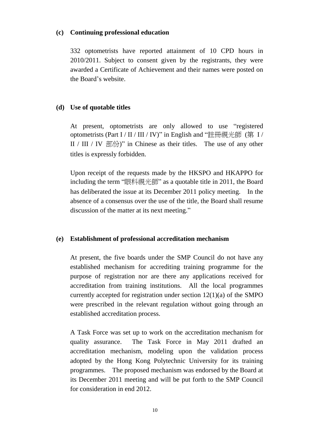#### **(c) Continuing professional education**

332 optometrists have reported attainment of 10 CPD hours in 2010/2011. Subject to consent given by the registrants, they were awarded a Certificate of Achievement and their names were posted on the Board's website.

#### **(d) Use of quotable titles**

At present, optometrists are only allowed to use "registered optometrists (Part I / II / III / IV)" in English and "註冊視光師 (第 I / II / III / IV 部份)" in Chinese as their titles. The use of any other titles is expressly forbidden.

Upon receipt of the requests made by the HKSPO and HKAPPO for including the term "眼科視光師" as a quotable title in 2011, the Board has deliberated the issue at its December 2011 policy meeting. In the absence of a consensus over the use of the title, the Board shall resume discussion of the matter at its next meeting."

#### **(e) Establishment of professional accreditation mechanism**

At present, the five boards under the SMP Council do not have any established mechanism for accrediting training programme for the purpose of registration nor are there any applications received for accreditation from training institutions. All the local programmes currently accepted for registration under section 12(1)(a) of the SMPO were prescribed in the relevant regulation without going through an established accreditation process.

A Task Force was set up to work on the accreditation mechanism for quality assurance. The Task Force in May 2011 drafted an accreditation mechanism, modeling upon the validation process adopted by the Hong Kong Polytechnic University for its training programmes. The proposed mechanism was endorsed by the Board at its December 2011 meeting and will be put forth to the SMP Council for consideration in end 2012.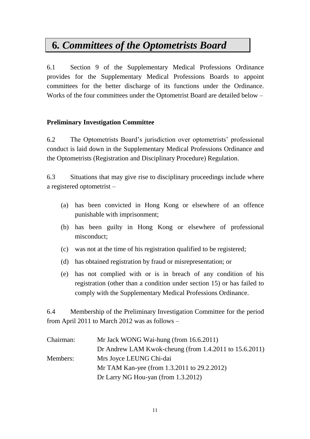# **6***. Committees of the Optometrists Board*

6.1 Section 9 of the Supplementary Medical Professions Ordinance provides for the Supplementary Medical Professions Boards to appoint committees for the better discharge of its functions under the Ordinance. Works of the four committees under the Optometrist Board are detailed below –

### **Preliminary Investigation Committee**

6.2 The Optometrists Board's jurisdiction over optometrists' professional conduct is laid down in the Supplementary Medical Professions Ordinance and the Optometrists (Registration and Disciplinary Procedure) Regulation.

6.3 Situations that may give rise to disciplinary proceedings include where a registered optometrist –

- (a) has been convicted in Hong Kong or elsewhere of an offence punishable with imprisonment;
- (b) has been guilty in Hong Kong or elsewhere of professional misconduct;
- (c) was not at the time of his registration qualified to be registered;
- (d) has obtained registration by fraud or misrepresentation; or
- (e) has not complied with or is in breach of any condition of his registration (other than a condition under section 15) or has failed to comply with the Supplementary Medical Professions Ordinance.

6.4 Membership of the Preliminary Investigation Committee for the period from April 2011 to March 2012 was as follows –

| Chairman: | Mr Jack WONG Wai-hung (from 16.6.2011)                      |  |
|-----------|-------------------------------------------------------------|--|
|           | Dr Andrew LAM Kwok-cheung (from $1.4.2011$ to $15.6.2011$ ) |  |
| Members:  | Mrs Joyce LEUNG Chi-dai                                     |  |
|           | Mr TAM Kan-yee (from 1.3.2011 to 29.2.2012)                 |  |
|           | Dr Larry NG Hou-yan (from $1.3.2012$ )                      |  |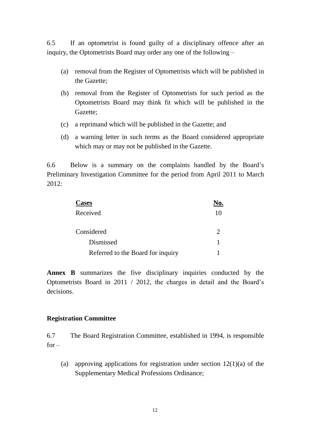6.5 If an optometrist is found guilty of a disciplinary offence after an inquiry, the Optometrists Board may order any one of the following –

- (a) removal from the Register of Optometrists which will be published in the Gazette;
- (b) removal from the Register of Optometrists for such period as the Optometrists Board may think fit which will be published in the Gazette;
- (c) a reprimand which will be published in the Gazette; and
- (d) a warning letter in such terms as the Board considered appropriate which may or may not be published in the Gazette.

6.6 Below is a summary on the complaints handled by the Board's Preliminary Investigation Committee for the period from April 2011 to March 2012:

| <b>Cases</b>                      |  |
|-----------------------------------|--|
| Received                          |  |
| Considered                        |  |
| Dismissed                         |  |
| Referred to the Board for inquiry |  |

**Annex B** summarizes the five disciplinary inquiries conducted by the Optometrists Board in 2011 / 2012, the charges in detail and the Board's decisions.

### **Registration Committee**

6.7 The Board Registration Committee, established in 1994, is responsible  $for -$ 

(a) approving applications for registration under section  $12(1)(a)$  of the Supplementary Medical Professions Ordinance;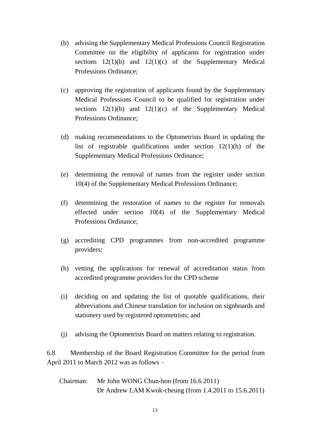- (b) advising the Supplementary Medical Professions Council Registration Committee on the eligibility of applicants for registration under sections  $12(1)(b)$  and  $12(1)(c)$  of the Supplementary Medical Professions Ordinance;
- (c) approving the registration of applicants found by the Supplementary Medical Professions Council to be qualified for registration under sections  $12(1)(b)$  and  $12(1)(c)$  of the Supplementary Medical Professions Ordinance;
- (d) making recommendations to the Optometrists Board in updating the list of registrable qualifications under section 12(1)(b) of the Supplementary Medical Professions Ordinance;
- (e) determining the removal of names from the register under section 10(4) of the Supplementary Medical Professions Ordinance;
- (f) determining the restoration of names to the register for removals effected under section 10(4) of the Supplementary Medical Professions Ordinance;
- (g) accrediting CPD programmes from non-accredited programme providers;
- (h) vetting the applications for renewal of accreditation status from accredited programme providers for the CPD scheme
- (i) deciding on and updating the list of quotable qualifications, their abbreviations and Chinese translation for inclusion on signboards and stationery used by registered optometrists; and
- (j) advising the Optometrists Board on matters relating to registration.

6.8 Membership of the Board Registration Committee for the period from April 2011 to March 2012 was as follows –

Chairman: Mr John WONG Chun-hon (from 16.6.2011) Dr Andrew LAM Kwok-cheung (from 1.4.2011 to 15.6.2011)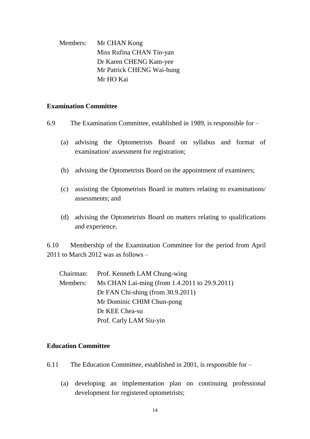Members: Mr CHAN Kong Miss Rufina CHAN Tin-yan Dr Karen CHENG Kam-yee Mr Patrick CHENG Wai-hung Mr HO Kai

#### **Examination Committee**

- 6.9 The Examination Committee, established in 1989, is responsible for
	- (a) advising the Optometrists Board on syllabus and format of examination/ assessment for registration;
	- (b) advising the Optometrists Board on the appointment of examiners;
	- (c) assisting the Optometrists Board in matters relating to examinations/ assessments; and
	- (d) advising the Optometrists Board on matters relating to qualifications and experience.

6.10 Membership of the Examination Committee for the period from April 2011 to March 2012 was as follows –

|          | Chairman: Prof. Kenneth LAM Chung-wing        |
|----------|-----------------------------------------------|
| Members: | Ms CHAN Lai-ming (from 1.4.2011 to 29.9.2011) |
|          | Dr FAN Chi-shing (from $30.9.2011$ )          |
|          | Mr Dominic CHIM Chun-pong                     |
|          | Dr KEE Chea-su                                |
|          | Prof. Carly LAM Siu-yin                       |

#### **Education Committee**

- 6.11 The Education Committee, established in 2001, is responsible for
	- (a) developing an implementation plan on continuing professional development for registered optometrists;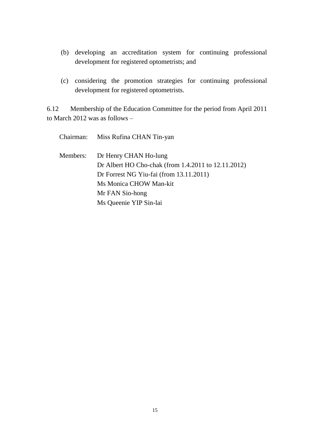- (b) developing an accreditation system for continuing professional development for registered optometrists; and
- (c) considering the promotion strategies for continuing professional development for registered optometrists.

6.12 Membership of the Education Committee for the period from April 2011 to March 2012 was as follows –

|          | Chairman: Miss Rufina CHAN Tin-yan                                                                                                                                   |
|----------|----------------------------------------------------------------------------------------------------------------------------------------------------------------------|
| Members: | Dr Henry CHAN Ho-lung<br>Dr Albert HO Cho-chak (from 1.4.2011 to 12.11.2012)<br>Dr Forrest NG Yiu-fai (from 13.11.2011)<br>Ms Monica CHOW Man-kit<br>Mr FAN Sio-hong |
|          | Ms Queenie YIP Sin-lai                                                                                                                                               |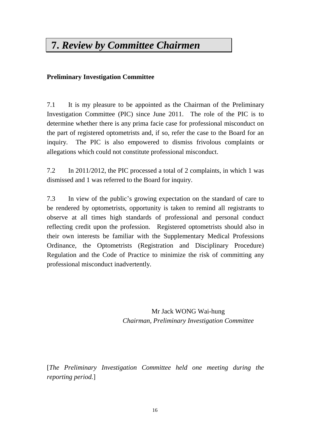# **7.** *Review by Committee Chairmen*

### **Preliminary Investigation Committee**

7.1 It is my pleasure to be appointed as the Chairman of the Preliminary Investigation Committee (PIC) since June 2011. The role of the PIC is to determine whether there is any prima facie case for professional misconduct on the part of registered optometrists and, if so, refer the case to the Board for an inquiry. The PIC is also empowered to dismiss frivolous complaints or allegations which could not constitute professional misconduct.

7.2 In 2011/2012, the PIC processed a total of 2 complaints, in which 1 was dismissed and 1 was referred to the Board for inquiry.

7.3 In view of the public's growing expectation on the standard of care to be rendered by optometrists, opportunity is taken to remind all registrants to observe at all times high standards of professional and personal conduct reflecting credit upon the profession. Registered optometrists should also in their own interests be familiar with the Supplementary Medical Professions Ordinance, the Optometrists (Registration and Disciplinary Procedure) Regulation and the Code of Practice to minimize the risk of committing any professional misconduct inadvertently.

> Mr Jack WONG Wai-hung *Chairman, Preliminary Investigation Committee*

[*The Preliminary Investigation Committee held one meeting during the reporting period.*]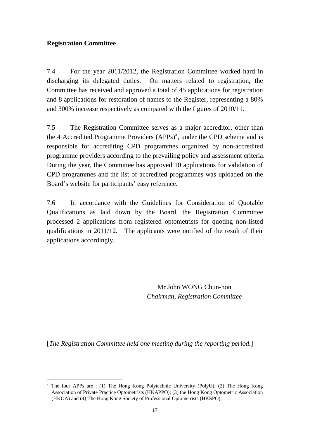### **Registration Committee**

7.4 For the year 2011/2012, the Registration Committee worked hard in discharging its delegated duties. On matters related to registration, the Committee has received and approved a total of 45 applications for registration and 8 applications for restoration of names to the Register, representing a 80% and 300% increase respectively as compared with the figures of 2010/11.

7.5 The Registration Committee serves as a major accreditor, other than the 4 Accredited Programme Providers  $(APPs)^2$ , under the CPD scheme and is responsible for accrediting CPD programmes organized by non-accredited programme providers according to the prevailing policy and assessment criteria. During the year, the Committee has approved 10 applications for validation of CPD programmes and the list of accredited programmes was uploaded on the Board's website for participants' easy reference.

7.6 In accordance with the Guidelines for Consideration of Quotable Qualifications as laid down by the Board, the Registration Committee processed 2 applications from registered optometrists for quoting non-listed qualifications in 2011/12. The applicants were notified of the result of their applications accordingly.

> Mr John WONG Chun-hon *Chairman, Registration Committee*

[*The Registration Committee held one meeting during the reporting period.*]

<sup>1</sup> <sup>2</sup> The four APPs are : (1) The Hong Kong Polytechnic University (PolyU); (2) The Hong Kong Association of Private Practice Optometrists (HKAPPO); (3) the Hong Kong Optometric Association (HKOA) and (4) The Hong Kong Society of Professional Optometrists (HKSPO).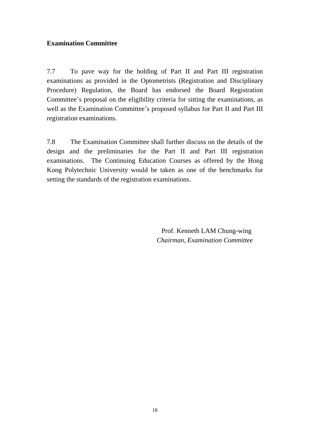#### **Examination Committee**

7.7 To pave way for the holding of Part II and Part III registration examinations as provided in the Optometrists (Registration and Disciplinary Procedure) Regulation, the Board has endorsed the Board Registration Committee's proposal on the eligibility criteria for sitting the examinations, as well as the Examination Committee's proposed syllabus for Part II and Part III registration examinations.

7.8 The Examination Committee shall further discuss on the details of the design and the preliminaries for the Part II and Part III registration examinations. The Continuing Education Courses as offered by the Hong Kong Polytechnic University would be taken as one of the benchmarks for setting the standards of the registration examinations.

> Prof. Kenneth LAM Chung-wing *Chairman, Examination Committee*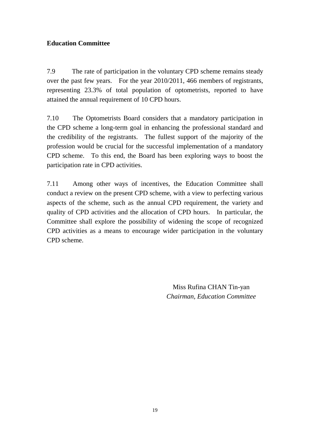### **Education Committee**

7.9 The rate of participation in the voluntary CPD scheme remains steady over the past few years. For the year 2010/2011, 466 members of registrants, representing 23.3% of total population of optometrists, reported to have attained the annual requirement of 10 CPD hours.

7.10 The Optometrists Board considers that a mandatory participation in the CPD scheme a long-term goal in enhancing the professional standard and the credibility of the registrants. The fullest support of the majority of the profession would be crucial for the successful implementation of a mandatory CPD scheme. To this end, the Board has been exploring ways to boost the participation rate in CPD activities.

7.11 Among other ways of incentives, the Education Committee shall conduct a review on the present CPD scheme, with a view to perfecting various aspects of the scheme, such as the annual CPD requirement, the variety and quality of CPD activities and the allocation of CPD hours. In particular, the Committee shall explore the possibility of widening the scope of recognized CPD activities as a means to encourage wider participation in the voluntary CPD scheme.

> Miss Rufina CHAN Tin-yan *Chairman, Education Committee*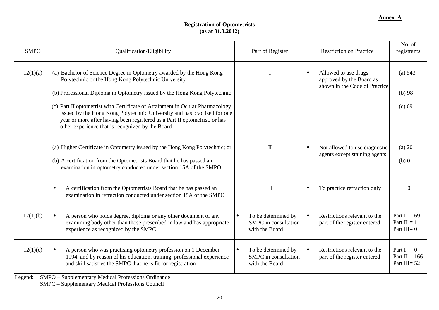#### **Registration of Optometrists (as at 31.3.2012)**

| <b>SMPO</b> | Qualification/Eligibility                                                                                                                                                                                                                                                                                                                                                                                                                                                                                                  | Part of Register                                              | <b>Restriction on Practice</b>                                                    | No. of<br>registrants                             |
|-------------|----------------------------------------------------------------------------------------------------------------------------------------------------------------------------------------------------------------------------------------------------------------------------------------------------------------------------------------------------------------------------------------------------------------------------------------------------------------------------------------------------------------------------|---------------------------------------------------------------|-----------------------------------------------------------------------------------|---------------------------------------------------|
| 12(1)(a)    | (a) Bachelor of Science Degree in Optometry awarded by the Hong Kong<br>Polytechnic or the Hong Kong Polytechnic University<br>(b) Professional Diploma in Optometry issued by the Hong Kong Polytechnic<br>$(c)$ Part II optometrist with Certificate of Attainment in Ocular Pharmacology<br>issued by the Hong Kong Polytechnic University and has practised for one<br>year or more after having been registered as a Part II optometrist, or has<br>other experience that is recognized by the Board                  |                                                               | Allowed to use drugs<br>approved by the Board as<br>shown in the Code of Practice | (a) 543<br>$(b)$ 98<br>(c) 69                     |
|             | (a) Higher Certificate in Optometry issued by the Hong Kong Polytechnic; or<br>(b) A certification from the Optometrists Board that he has passed an<br>examination in optometry conducted under section 15A of the SMPO                                                                                                                                                                                                                                                                                                   | $\mathbf{I}$                                                  | Not allowed to use diagnostic<br>agents except staining agents                    | $(a)$ 20<br>$(b)$ 0                               |
|             | A certification from the Optometrists Board that he has passed an<br>$\bullet$<br>examination in refraction conducted under section 15A of the SMPO                                                                                                                                                                                                                                                                                                                                                                        | III                                                           | To practice refraction only                                                       | $\Omega$                                          |
| 12(1)(b)    | A person who holds degree, diploma or any other document of any<br>examining body other than those prescribed in law and has appropriate<br>experience as recognized by the SMPC                                                                                                                                                                                                                                                                                                                                           | To be determined by<br>SMPC in consultation<br>with the Board | Restrictions relevant to the<br>part of the register entered                      | Part I = $69$<br>Part $II = 1$<br>Part $III = 0$  |
| 12(1)(c)    | $\bullet$<br>A person who was practising optometry profession on 1 December<br>1994, and by reason of his education, training, professional experience<br>and skill satisfies the SMPC that he is fit for registration<br>$\mathbf{v}$ and $\mathbf{v}$ and $\mathbf{v}$ and $\mathbf{v}$ and $\mathbf{v}$ and $\mathbf{v}$ and $\mathbf{v}$ and $\mathbf{v}$ and $\mathbf{v}$ and $\mathbf{v}$ and $\mathbf{v}$ and $\mathbf{v}$ and $\mathbf{v}$ and $\mathbf{v}$ and $\mathbf{v}$ and $\mathbf{v}$ and $\mathbf{v}$ and | To be determined by<br>SMPC in consultation<br>with the Board | Restrictions relevant to the<br>part of the register entered                      | Part $I = 0$<br>Part II = $166$<br>Part III= $52$ |

Legend: SMPO – Supplementary Medical Professions Ordinance

SMPC – Supplementary Medical Professions Council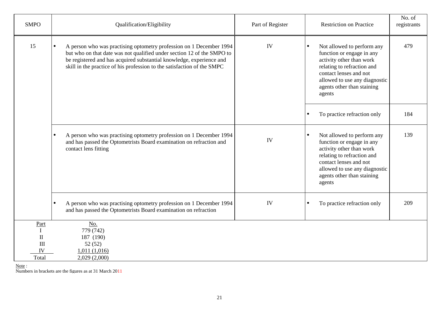| <b>SMPO</b>                                                      | Qualification/Eligibility                                                                                                                                                                                                                                                                        | Part of Register | <b>Restriction on Practice</b>                                                                                                                                                                                                    | No. of<br>registrants |
|------------------------------------------------------------------|--------------------------------------------------------------------------------------------------------------------------------------------------------------------------------------------------------------------------------------------------------------------------------------------------|------------------|-----------------------------------------------------------------------------------------------------------------------------------------------------------------------------------------------------------------------------------|-----------------------|
| 15                                                               | A person who was practising optometry profession on 1 December 1994<br>but who on that date was not qualified under section 12 of the SMPO to<br>be registered and has acquired substantial knowledge, experience and<br>skill in the practice of his profession to the satisfaction of the SMPC | IV               | Not allowed to perform any<br>function or engage in any<br>activity other than work<br>relating to refraction and<br>contact lenses and not<br>allowed to use any diagnostic<br>agents other than staining<br>agents              | 479                   |
|                                                                  |                                                                                                                                                                                                                                                                                                  |                  | To practice refraction only<br>$\bullet$                                                                                                                                                                                          | 184                   |
|                                                                  | A person who was practising optometry profession on 1 December 1994<br>$\bullet$<br>and has passed the Optometrists Board examination on refraction and<br>contact lens fitting                                                                                                                  | IV               | Not allowed to perform any<br>$\bullet$<br>function or engage in any<br>activity other than work<br>relating to refraction and<br>contact lenses and not<br>allowed to use any diagnostic<br>agents other than staining<br>agents | 139                   |
|                                                                  | A person who was practising optometry profession on 1 December 1994<br>$\bullet$<br>and has passed the Optometrists Board examination on refraction                                                                                                                                              | IV               | To practice refraction only<br>$\bullet$                                                                                                                                                                                          | 209                   |
| Part<br>$\mathbf{I}$<br>$\mathbf{I}$<br>$\rm III$<br>IV<br>Total | No.<br>779 (742)<br>187 (190)<br>52(52)<br>1,011(1,016)<br>2,029 (2,000)                                                                                                                                                                                                                         |                  |                                                                                                                                                                                                                                   |                       |

Note:

Numbers in brackets are the figures as at 31 March 2011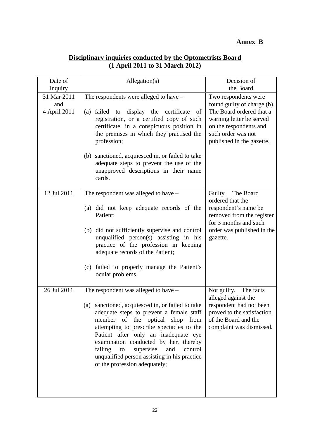## **Annex B**

### **Disciplinary inquiries conducted by the Optometrists Board (1 April 2011 to 31 March 2012)**

| Date of                            | Allegation(s)                                                                                                                                                                                                                                                                                                                                                                                                                             | Decision of                                                                                                                                                                              |
|------------------------------------|-------------------------------------------------------------------------------------------------------------------------------------------------------------------------------------------------------------------------------------------------------------------------------------------------------------------------------------------------------------------------------------------------------------------------------------------|------------------------------------------------------------------------------------------------------------------------------------------------------------------------------------------|
| Inquiry                            |                                                                                                                                                                                                                                                                                                                                                                                                                                           | the Board                                                                                                                                                                                |
| 31 Mar 2011<br>and<br>4 April 2011 | The respondents were alleged to have $-$<br>display the certificate<br>failed<br>(a)<br>to<br>of<br>registration, or a certified copy of such<br>certificate, in a conspicuous position in<br>the premises in which they practised the<br>profession;<br>(b) sanctioned, acquiesced in, or failed to take<br>adequate steps to prevent the use of the<br>unapproved descriptions in their name                                            | Two respondents were<br>found guilty of charge (b).<br>The Board ordered that a<br>warning letter be served<br>on the respondents and<br>such order was not<br>published in the gazette. |
|                                    | cards.                                                                                                                                                                                                                                                                                                                                                                                                                                    |                                                                                                                                                                                          |
| 12 Jul 2011                        | The respondent was alleged to have –<br>(a) did not keep adequate records of the<br>Patient;<br>(b) did not sufficiently supervise and control<br>unqualified person(s) assisting in his<br>practice of the profession in keeping<br>adequate records of the Patient;<br>failed to properly manage the Patient's<br>(c)<br>ocular problems.                                                                                               | The Board<br>Guilty.<br>ordered that the<br>respondent's name be<br>removed from the register<br>for 3 months and such<br>order was published in the<br>gazette.                         |
| 26 Jul 2011                        | The respondent was alleged to have –<br>sanctioned, acquiesced in, or failed to take<br>(a)<br>adequate steps to prevent a female staff<br>member of the optical shop from<br>attempting to prescribe spectacles to the<br>Patient after only an inadequate eye<br>examination conducted by her, thereby<br>failing<br>supervise<br>and<br>control<br>to<br>unqualified person assisting in his practice<br>of the profession adequately; | Not guilty.<br>The facts<br>alleged against the<br>respondent had not been<br>proved to the satisfaction<br>of the Board and the<br>complaint was dismissed.                             |